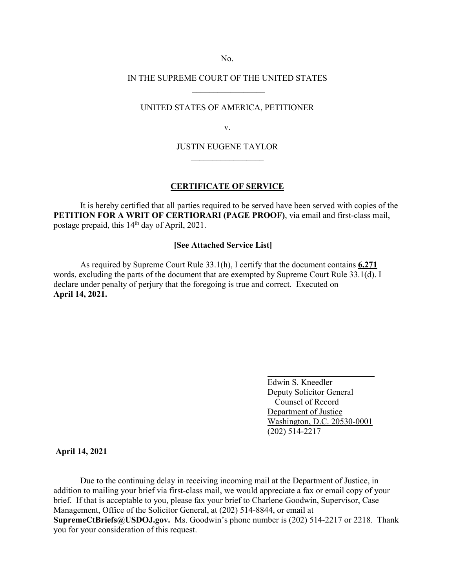No.

# IN THE SUPREME COURT OF THE UNITED STATES  $\frac{1}{2}$  ,  $\frac{1}{2}$  ,  $\frac{1}{2}$  ,  $\frac{1}{2}$  ,  $\frac{1}{2}$  ,  $\frac{1}{2}$  ,  $\frac{1}{2}$  ,  $\frac{1}{2}$  ,  $\frac{1}{2}$

### UNITED STATES OF AMERICA, PETITIONER

v.

## JUSTIN EUGENE TAYLOR  $\frac{1}{2}$  ,  $\frac{1}{2}$  ,  $\frac{1}{2}$  ,  $\frac{1}{2}$  ,  $\frac{1}{2}$  ,  $\frac{1}{2}$  ,  $\frac{1}{2}$  ,  $\frac{1}{2}$

#### **CERTIFICATE OF SERVICE**

 It is hereby certified that all parties required to be served have been served with copies of the **PETITION FOR A WRIT OF CERTIORARI (PAGE PROOF)**, via email and first-class mail, postage prepaid, this 14<sup>th</sup> day of April, 2021.

### **[See Attached Service List]**

As required by Supreme Court Rule 33.1(h), I certify that the document contains **6,271**  words, excluding the parts of the document that are exempted by Supreme Court Rule 33.1(d). I declare under penalty of perjury that the foregoing is true and correct. Executed on **April 14, 2021.**

> Edwin S. Kneedler Deputy Solicitor General Counsel of Record Department of Justice Washington, D.C. 20530-0001 (202) 514-2217

## **April 14, 2021**

Due to the continuing delay in receiving incoming mail at the Department of Justice, in addition to mailing your brief via first-class mail, we would appreciate a fax or email copy of your brief. If that is acceptable to you, please fax your brief to Charlene Goodwin, Supervisor, Case Management, Office of the Solicitor General, at (202) 514-8844, or email at **SupremeCtBriefs@USDOJ.gov.** Ms. Goodwin's phone number is (202) 514-2217 or 2218. Thank you for your consideration of this request.